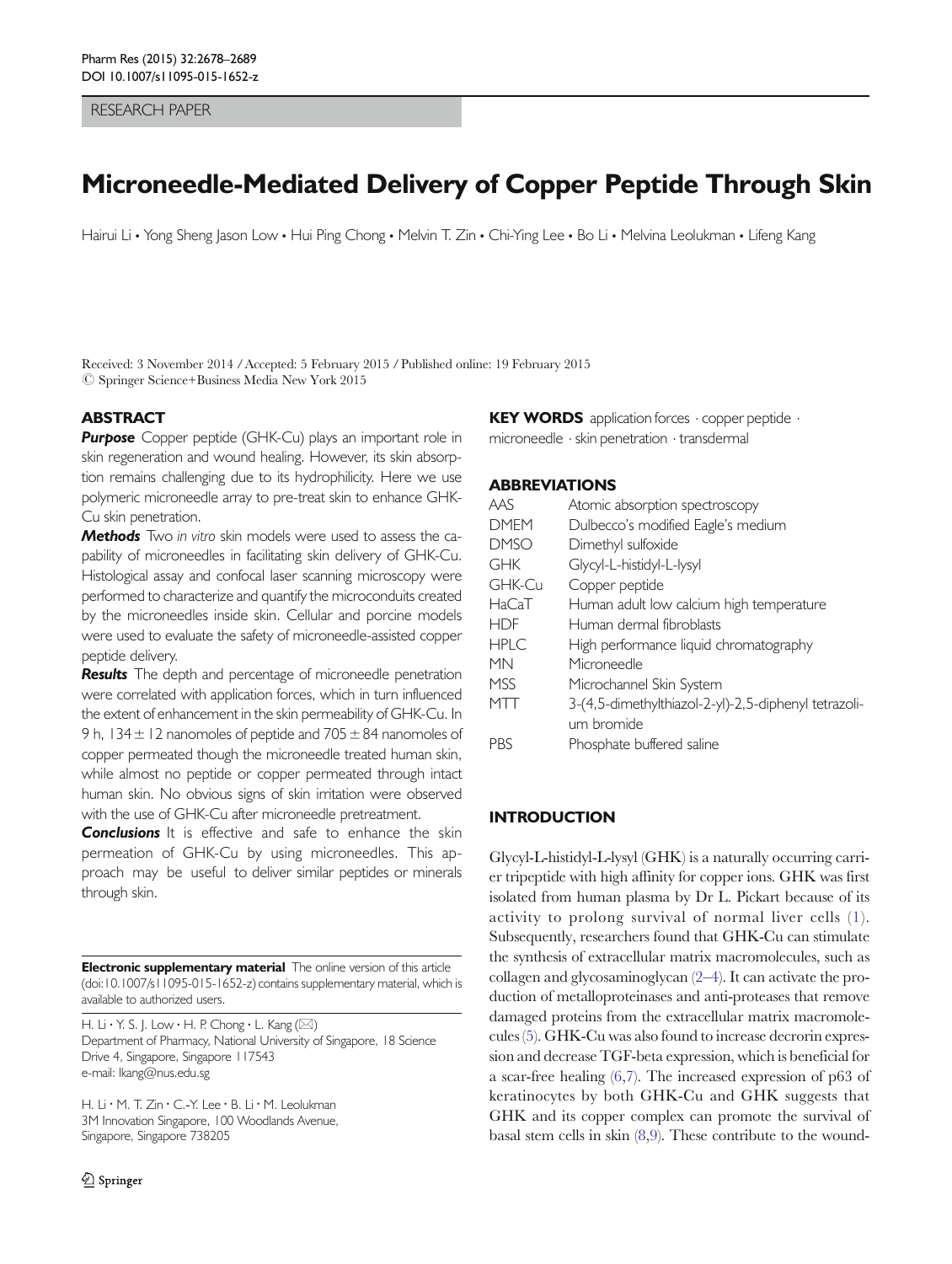RESEARCH PAPER

# Microneedle-Mediated Delivery of Copper Peptide Through Skin

Hairui Li • Yong Sheng Jason Low • Hui Ping Chong • Melvin T. Zin • Chi-Ying Lee • Bo Li • Melvina Leolukman • Lifeng Kang

Received: 3 November 2014 /Accepted: 5 February 2015 /Published online: 19 February 2015  $\oslash$  Springer Science+Business Media New York 2015

# **ABSTRACT**

Purpose Copper peptide (GHK-Cu) plays an important role in skin regeneration and wound healing. However, its skin absorption remains challenging due to its hydrophilicity. Here we use polymeric microneedle array to pre-treat skin to enhance GHK-Cu skin penetration.

Methods Two in vitro skin models were used to assess the capability of microneedles in facilitating skin delivery of GHK-Cu. Histological assay and confocal laser scanning microscopy were performed to characterize and quantify the microconduits created by the microneedles inside skin. Cellular and porcine models were used to evaluate the safety of microneedle-assisted copper peptide delivery.

**Results** The depth and percentage of microneedle penetration were correlated with application forces, which in turn influenced the extent of enhancement in the skin permeability of GHK-Cu. In 9 h, 134  $\pm$  12 nanomoles of peptide and 705  $\pm$  84 nanomoles of copper permeated though the microneedle treated human skin, while almost no peptide or copper permeated through intact human skin. No obvious signs of skin irritation were observed with the use of GHK-Cu after microneedle pretreatment.

**Conclusions** It is effective and safe to enhance the skin permeation of GHK-Cu by using microneedles. This approach may be useful to deliver similar peptides or minerals through skin.

**Electronic supplementary material** The online version of this article (doi[:10.1007/s11095-015-1652-z\)](http://dx.doi.org/10.1007/s11095-015-1652-z) contains supplementary material, which is available to authorized users.

H. Li  $\cdot$  Y. S. J. Low  $\cdot$  H. P. Chong  $\cdot$  L. Kang ( $\boxtimes$ ) Department of Pharmacy, National University of Singapore, 18 Science Drive 4, Singapore, Singapore 117543 e-mail: lkang@nus.edu.sg

H. Li · M. T. Zin · C.-Y. Lee · B. Li · M. Leolukman 3M Innovation Singapore, 100 Woodlands Avenue, Singapore, Singapore 738205

KEY WORDS application forces · copper peptide · microneedle . skin penetration . transdermal

## ABBREVIATIONS

| AAS         | Atomic absorption spectroscopy                       |
|-------------|------------------------------------------------------|
| <b>DMEM</b> | Dulbecco's modified Eagle's medium                   |
| <b>DMSO</b> | Dimethyl sulfoxide                                   |
| <b>GHK</b>  | Glycyl-L-histidyl-L-lysyl                            |
| GHK-Cu      | Copper peptide                                       |
| HaCaT       | Human adult low calcium high temperature             |
| <b>HDF</b>  | Human dermal fibroblasts                             |
| <b>HPLC</b> | High performance liquid chromatography               |
| <b>MN</b>   | Microneedle                                          |
| <b>MSS</b>  | Microchannel Skin System                             |
| MTT         | 3-(4,5-dimethylthiazol-2-yl)-2,5-diphenyl tetrazoli- |
|             | um bromide                                           |
| <b>PRS</b>  | Phosphate buffered saline                            |
|             |                                                      |

## **INTRODUCTION**

Glycyl-L-histidyl-L-lysyl (GHK) is a naturally occurring carrier tripeptide with high affinity for copper ions. GHK was first isolated from human plasma by Dr L. Pickart because of its activity to prolong survival of normal liver cells ([1\)](#page-9-0). Subsequently, researchers found that GHK-Cu can stimulate the synthesis of extracellular matrix macromolecules, such as collagen and glycosaminoglycan [\(2](#page-9-0)–[4\)](#page-9-0). It can activate the production of metalloproteinases and anti-proteases that remove damaged proteins from the extracellular matrix macromolecules [\(5](#page-9-0)). GHK-Cu was also found to increase decrorin expression and decrease TGF-beta expression, which is beneficial for a scar-free healing [\(6](#page-9-0),[7\)](#page-9-0). The increased expression of p63 of keratinocytes by both GHK-Cu and GHK suggests that GHK and its copper complex can promote the survival of basal stem cells in skin [\(8](#page-9-0),[9](#page-9-0)). These contribute to the wound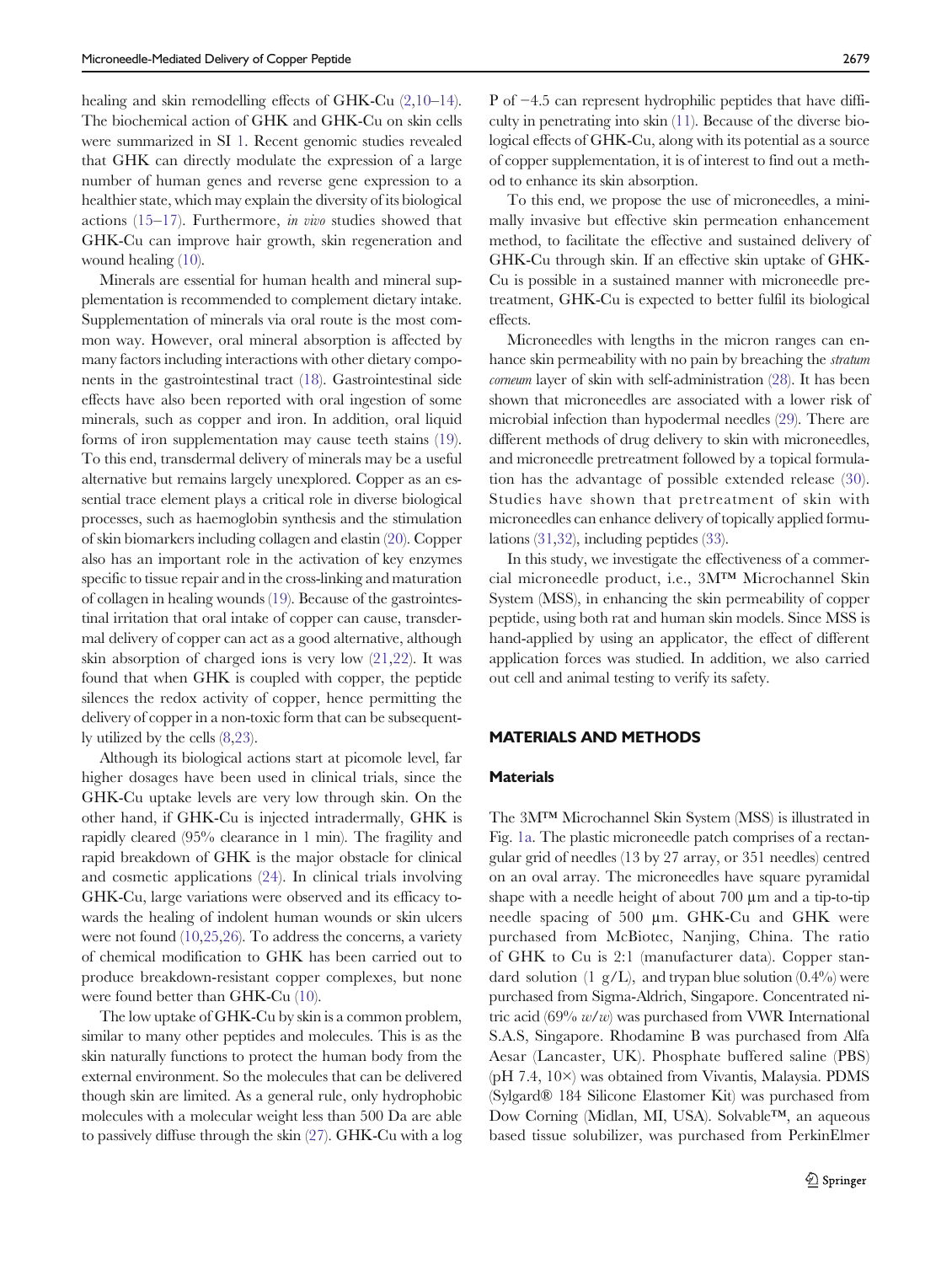healing and skin remodelling effects of GHK-Cu  $(2.10-14)$  $(2.10-14)$  $(2.10-14)$  $(2.10-14)$  $(2.10-14)$  $(2.10-14)$  $(2.10-14)$ . The biochemical action of GHK and GHK-Cu on skin cells were summarized in SI 1. Recent genomic studies revealed that GHK can directly modulate the expression of a large number of human genes and reverse gene expression to a healthier state, which may explain the diversity of its biological actions ([15](#page-9-0)–[17](#page-10-0)). Furthermore, in vivo studies showed that GHK-Cu can improve hair growth, skin regeneration and wound healing ([10\)](#page-9-0).

Minerals are essential for human health and mineral supplementation is recommended to complement dietary intake. Supplementation of minerals via oral route is the most common way. However, oral mineral absorption is affected by many factors including interactions with other dietary components in the gastrointestinal tract ([18\)](#page-10-0). Gastrointestinal side effects have also been reported with oral ingestion of some minerals, such as copper and iron. In addition, oral liquid forms of iron supplementation may cause teeth stains [\(19](#page-10-0)). To this end, transdermal delivery of minerals may be a useful alternative but remains largely unexplored. Copper as an essential trace element plays a critical role in diverse biological processes, such as haemoglobin synthesis and the stimulation of skin biomarkers including collagen and elastin [\(20](#page-10-0)). Copper also has an important role in the activation of key enzymes specific to tissue repair and in the cross-linking and maturation of collagen in healing wounds [\(19\)](#page-10-0). Because of the gastrointestinal irritation that oral intake of copper can cause, transdermal delivery of copper can act as a good alternative, although skin absorption of charged ions is very low [\(21](#page-10-0),[22\)](#page-10-0). It was found that when GHK is coupled with copper, the peptide silences the redox activity of copper, hence permitting the delivery of copper in a non-toxic form that can be subsequently utilized by the cells ([8](#page-9-0),[23\)](#page-10-0).

Although its biological actions start at picomole level, far higher dosages have been used in clinical trials, since the GHK-Cu uptake levels are very low through skin. On the other hand, if GHK-Cu is injected intradermally, GHK is rapidly cleared (95% clearance in 1 min). The fragility and rapid breakdown of GHK is the major obstacle for clinical and cosmetic applications ([24](#page-10-0)). In clinical trials involving GHK-Cu, large variations were observed and its efficacy towards the healing of indolent human wounds or skin ulcers were not found [\(10](#page-9-0)[,25,26](#page-10-0)). To address the concerns, a variety of chemical modification to GHK has been carried out to produce breakdown-resistant copper complexes, but none were found better than GHK-Cu ([10\)](#page-9-0).

The low uptake of GHK-Cu by skin is a common problem, similar to many other peptides and molecules. This is as the skin naturally functions to protect the human body from the external environment. So the molecules that can be delivered though skin are limited. As a general rule, only hydrophobic molecules with a molecular weight less than 500 Da are able to passively diffuse through the skin [\(27\)](#page-10-0). GHK-Cu with a log

P of −4.5 can represent hydrophilic peptides that have difficulty in penetrating into skin ([11\)](#page-9-0). Because of the diverse biological effects of GHK-Cu, along with its potential as a source of copper supplementation, it is of interest to find out a method to enhance its skin absorption.

To this end, we propose the use of microneedles, a minimally invasive but effective skin permeation enhancement method, to facilitate the effective and sustained delivery of GHK-Cu through skin. If an effective skin uptake of GHK-Cu is possible in a sustained manner with microneedle pretreatment, GHK-Cu is expected to better fulfil its biological effects.

Microneedles with lengths in the micron ranges can enhance skin permeability with no pain by breaching the stratum corneum layer of skin with self-administration [\(28\)](#page-10-0). It has been shown that microneedles are associated with a lower risk of microbial infection than hypodermal needles [\(29](#page-10-0)). There are different methods of drug delivery to skin with microneedles, and microneedle pretreatment followed by a topical formulation has the advantage of possible extended release ([30](#page-10-0)). Studies have shown that pretreatment of skin with microneedles can enhance delivery of topically applied formulations [\(31,32](#page-10-0)), including peptides ([33](#page-10-0)).

In this study, we investigate the effectiveness of a commercial microneedle product, i.e., 3M™ Microchannel Skin System (MSS), in enhancing the skin permeability of copper peptide, using both rat and human skin models. Since MSS is hand-applied by using an applicator, the effect of different application forces was studied. In addition, we also carried out cell and animal testing to verify its safety.

## MATERIALS AND METHODS

#### **Materials**

The 3M™ Microchannel Skin System (MSS) is illustrated in Fig. [1a.](#page-2-0) The plastic microneedle patch comprises of a rectangular grid of needles (13 by 27 array, or 351 needles) centred on an oval array. The microneedles have square pyramidal shape with a needle height of about 700 μm and a tip-to-tip needle spacing of 500 μm. GHK-Cu and GHK were purchased from McBiotec, Nanjing, China. The ratio of GHK to Cu is 2:1 (manufacturer data). Copper standard solution (1 g/L), and trypan blue solution  $(0.4\%)$  were purchased from Sigma-Aldrich, Singapore. Concentrated nitric acid (69%  $w/w$ ) was purchased from VWR International S.A.S, Singapore. Rhodamine B was purchased from Alfa Aesar (Lancaster, UK). Phosphate buffered saline (PBS) (pH 7.4, 10×) was obtained from Vivantis, Malaysia. PDMS (Sylgard® 184 Silicone Elastomer Kit) was purchased from Dow Corning (Midlan, MI, USA). Solvable™, an aqueous based tissue solubilizer, was purchased from PerkinElmer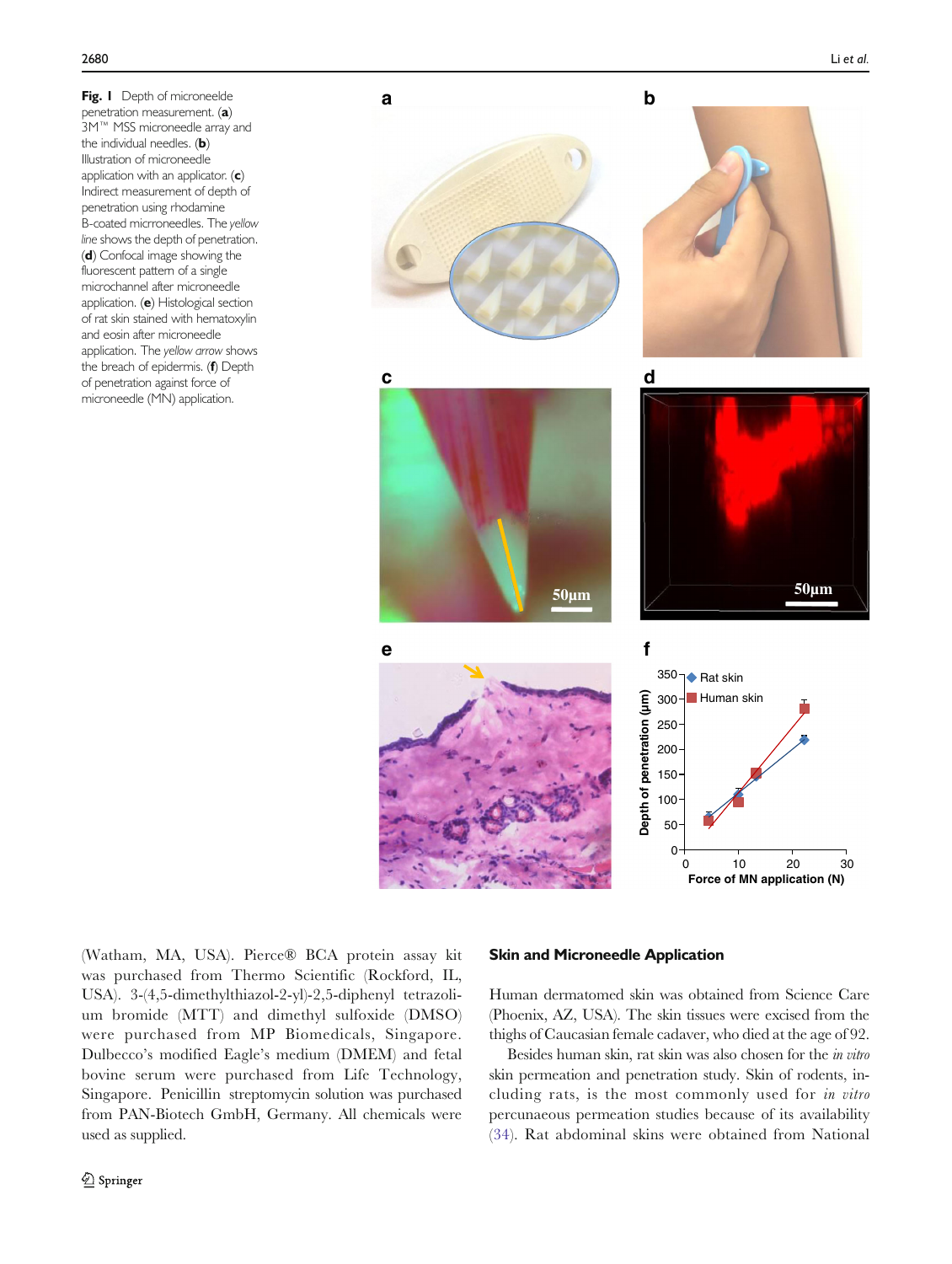<span id="page-2-0"></span>Fig. I Depth of microneelde penetration measurement. (a) 3M™ MSS microneedle array and the individual needles. (b) Illustration of microneedle application with an applicator.  $(c)$ Indirect measurement of depth of penetration using rhodamine B-coated micrroneedles. The yellow line shows the depth of penetration. (d) Confocal image showing the fluorescent pattern of a single microchannel after microneedle application. (e) Histological section of rat skin stained with hematoxylin and eosin after microneedle application. The yellow arrow shows the breach of epidermis. (f) Depth of penetration against force of microneedle (MN) application.



(Watham, MA, USA). Pierce® BCA protein assay kit was purchased from Thermo Scientific (Rockford, IL, USA). 3-(4,5-dimethylthiazol-2-yl)-2,5-diphenyl tetrazolium bromide (MTT) and dimethyl sulfoxide (DMSO) were purchased from MP Biomedicals, Singapore. Dulbecco's modified Eagle's medium (DMEM) and fetal bovine serum were purchased from Life Technology, Singapore. Penicillin streptomycin solution was purchased from PAN-Biotech GmbH, Germany. All chemicals were used as supplied.

#### Skin and Microneedle Application

Human dermatomed skin was obtained from Science Care (Phoenix, AZ, USA). The skin tissues were excised from the thighs of Caucasian female cadaver, who died at the age of 92.

Besides human skin, rat skin was also chosen for the in vitro skin permeation and penetration study. Skin of rodents, including rats, is the most commonly used for in vitro percunaeous permeation studies because of its availability ([34](#page-10-0)). Rat abdominal skins were obtained from National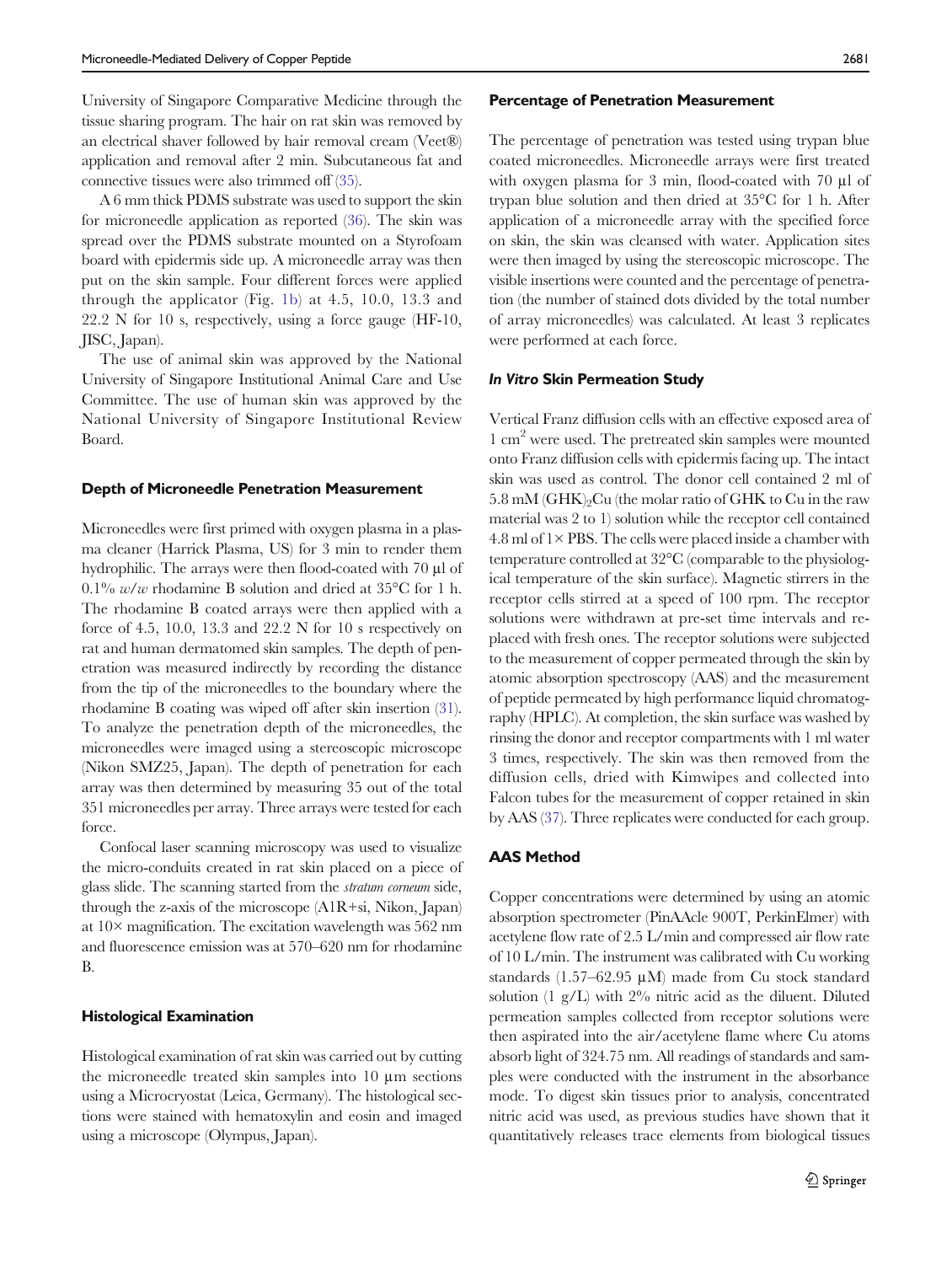University of Singapore Comparative Medicine through the tissue sharing program. The hair on rat skin was removed by an electrical shaver followed by hair removal cream (Veet®) application and removal after 2 min. Subcutaneous fat and connective tissues were also trimmed off [\(35\)](#page-10-0).

A 6 mm thick PDMS substrate was used to support the skin for microneedle application as reported [\(36](#page-10-0)). The skin was spread over the PDMS substrate mounted on a Styrofoam board with epidermis side up. A microneedle array was then put on the skin sample. Four different forces were applied through the applicator (Fig. [1b\)](#page-2-0) at 4.5, 10.0, 13.3 and 22.2 N for 10 s, respectively, using a force gauge (HF-10, JISC, Japan).

The use of animal skin was approved by the National University of Singapore Institutional Animal Care and Use Committee. The use of human skin was approved by the National University of Singapore Institutional Review Board.

#### Depth of Microneedle Penetration Measurement

Microneedles were first primed with oxygen plasma in a plasma cleaner (Harrick Plasma, US) for 3 min to render them hydrophilic. The arrays were then flood-coated with 70 μl of  $0.1\%$  w/w rhodamine B solution and dried at 35<sup>o</sup>C for 1 h. The rhodamine B coated arrays were then applied with a force of 4.5, 10.0, 13.3 and 22.2 N for 10 s respectively on rat and human dermatomed skin samples. The depth of penetration was measured indirectly by recording the distance from the tip of the microneedles to the boundary where the rhodamine B coating was wiped off after skin insertion ([31](#page-10-0)). To analyze the penetration depth of the microneedles, the microneedles were imaged using a stereoscopic microscope (Nikon SMZ25, Japan). The depth of penetration for each array was then determined by measuring 35 out of the total 351 microneedles per array. Three arrays were tested for each force.

Confocal laser scanning microscopy was used to visualize the micro-conduits created in rat skin placed on a piece of glass slide. The scanning started from the stratum corneum side, through the z-axis of the microscope (A1R+si, Nikon, Japan) at 10× magnification. The excitation wavelength was 562 nm and fluorescence emission was at 570–620 nm for rhodamine B.

#### Histological Examination

Histological examination of rat skin was carried out by cutting the microneedle treated skin samples into 10 μm sections using a Microcryostat (Leica, Germany). The histological sections were stained with hematoxylin and eosin and imaged using a microscope (Olympus, Japan).

#### Percentage of Penetration Measurement

The percentage of penetration was tested using trypan blue coated microneedles. Microneedle arrays were first treated with oxygen plasma for 3 min, flood-coated with 70 μl of trypan blue solution and then dried at 35°C for 1 h. After application of a microneedle array with the specified force on skin, the skin was cleansed with water. Application sites were then imaged by using the stereoscopic microscope. The visible insertions were counted and the percentage of penetration (the number of stained dots divided by the total number of array microneedles) was calculated. At least 3 replicates were performed at each force.

#### In Vitro Skin Permeation Study

Vertical Franz diffusion cells with an effective exposed area of 1 cm2 were used. The pretreated skin samples were mounted onto Franz diffusion cells with epidermis facing up. The intact skin was used as control. The donor cell contained 2 ml of  $5.8 \text{ mM } (GHK)_{2}$ Cu (the molar ratio of GHK to Cu in the raw material was 2 to 1) solution while the receptor cell contained  $4.8$  ml of  $1\times$  PBS. The cells were placed inside a chamber with temperature controlled at 32°C (comparable to the physiological temperature of the skin surface). Magnetic stirrers in the receptor cells stirred at a speed of 100 rpm. The receptor solutions were withdrawn at pre-set time intervals and replaced with fresh ones. The receptor solutions were subjected to the measurement of copper permeated through the skin by atomic absorption spectroscopy (AAS) and the measurement of peptide permeated by high performance liquid chromatography (HPLC). At completion, the skin surface was washed by rinsing the donor and receptor compartments with 1 ml water 3 times, respectively. The skin was then removed from the diffusion cells, dried with Kimwipes and collected into Falcon tubes for the measurement of copper retained in skin by AAS ([37](#page-10-0)). Three replicates were conducted for each group.

## AAS Method

Copper concentrations were determined by using an atomic absorption spectrometer (PinAAcle 900T, PerkinElmer) with acetylene flow rate of 2.5 L/min and compressed air flow rate of 10 L/min. The instrument was calibrated with Cu working standards (1.57–62.95 μM) made from Cu stock standard solution  $(1 \text{ g}/L)$  with  $2\%$  nitric acid as the diluent. Diluted permeation samples collected from receptor solutions were then aspirated into the air/acetylene flame where Cu atoms absorb light of 324.75 nm. All readings of standards and samples were conducted with the instrument in the absorbance mode. To digest skin tissues prior to analysis, concentrated nitric acid was used, as previous studies have shown that it quantitatively releases trace elements from biological tissues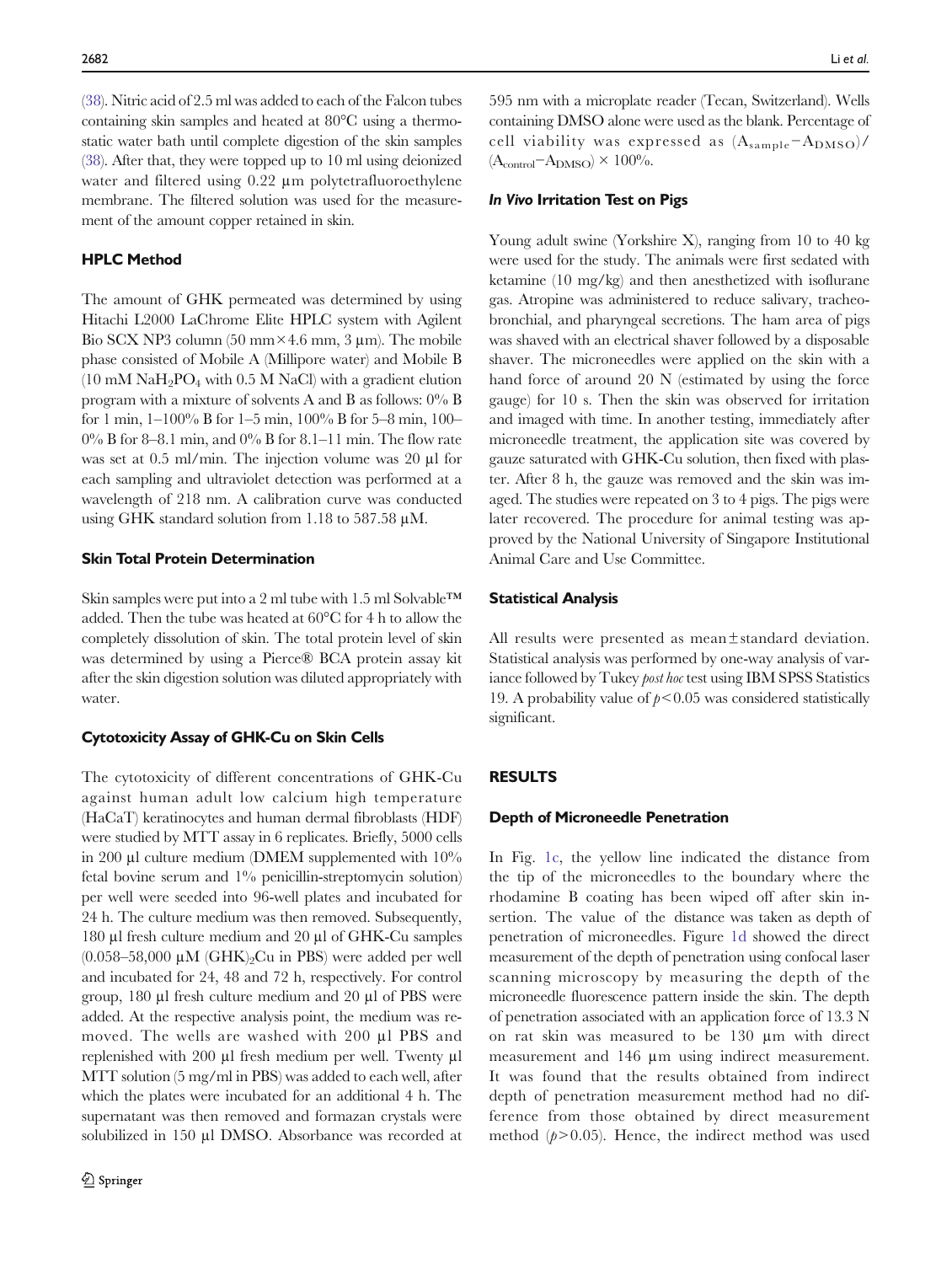[\(38](#page-10-0)). Nitric acid of 2.5 ml was added to each of the Falcon tubes containing skin samples and heated at 80°C using a thermostatic water bath until complete digestion of the skin samples [\(38\)](#page-10-0). After that, they were topped up to 10 ml using deionized water and filtered using 0.22 μm polytetrafluoroethylene membrane. The filtered solution was used for the measurement of the amount copper retained in skin.

## HPLC Method

The amount of GHK permeated was determined by using Hitachi L2000 LaChrome Elite HPLC system with Agilent Bio SCX NP3 column  $(50 \text{ mm} \times 4.6 \text{ mm}, 3 \text{ µm})$ . The mobile phase consisted of Mobile A (Millipore water) and Mobile B  $(10 \text{ mM } \text{NaH}_2\text{PO}_4 \text{ with } 0.5 \text{ M } \text{NaCl} \text{ with a gradient elution})$ program with a mixture of solvents A and B as follows: 0% B for 1 min, 1–100% B for 1–5 min, 100% B for 5–8 min, 100–  $0\%$  B for 8–8.1 min, and  $0\%$  B for 8.1–11 min. The flow rate was set at 0.5 ml/min. The injection volume was 20 μl for each sampling and ultraviolet detection was performed at a wavelength of 218 nm. A calibration curve was conducted using GHK standard solution from 1.18 to 587.58  $\mu$ M.

## Skin Total Protein Determination

Skin samples were put into a 2 ml tube with 1.5 ml Solvable™ added. Then the tube was heated at 60°C for 4 h to allow the completely dissolution of skin. The total protein level of skin was determined by using a Pierce® BCA protein assay kit after the skin digestion solution was diluted appropriately with water.

#### Cytotoxicity Assay of GHK-Cu on Skin Cells

The cytotoxicity of different concentrations of GHK-Cu against human adult low calcium high temperature (HaCaT) keratinocytes and human dermal fibroblasts (HDF) were studied by MTT assay in 6 replicates. Briefly, 5000 cells in 200 μl culture medium (DMEM supplemented with 10% fetal bovine serum and 1% penicillin-streptomycin solution) per well were seeded into 96-well plates and incubated for 24 h. The culture medium was then removed. Subsequently, 180 μl fresh culture medium and 20 μl of GHK-Cu samples  $(0.058-58,000 \mu M$  (GHK)<sub>2</sub>Cu in PBS) were added per well and incubated for 24, 48 and 72 h, respectively. For control group, 180 μl fresh culture medium and 20 μl of PBS were added. At the respective analysis point, the medium was removed. The wells are washed with 200 μl PBS and replenished with 200 μl fresh medium per well. Twenty μl MTT solution (5 mg/ml in PBS) was added to each well, after which the plates were incubated for an additional 4 h. The supernatant was then removed and formazan crystals were solubilized in 150 μl DMSO. Absorbance was recorded at 595 nm with a microplate reader (Tecan, Switzerland). Wells containing DMSO alone were used as the blank. Percentage of cell viability was expressed as  $(A_{\text{sample}}-A_{\text{DMSO}})/$  $(A_{control} - A_{DMSO}) \times 100\%$ .

#### In Vivo Irritation Test on Pigs

Young adult swine (Yorkshire X), ranging from 10 to 40 kg were used for the study. The animals were first sedated with ketamine (10 mg/kg) and then anesthetized with isoflurane gas. Atropine was administered to reduce salivary, tracheobronchial, and pharyngeal secretions. The ham area of pigs was shaved with an electrical shaver followed by a disposable shaver. The microneedles were applied on the skin with a hand force of around 20 N (estimated by using the force gauge) for 10 s. Then the skin was observed for irritation and imaged with time. In another testing, immediately after microneedle treatment, the application site was covered by gauze saturated with GHK-Cu solution, then fixed with plaster. After 8 h, the gauze was removed and the skin was imaged. The studies were repeated on 3 to 4 pigs. The pigs were later recovered. The procedure for animal testing was approved by the National University of Singapore Institutional Animal Care and Use Committee.

## Statistical Analysis

All results were presented as mean± standard deviation. Statistical analysis was performed by one-way analysis of variance followed by Tukey *post hoc* test using IBM SPSS Statistics 19. A probability value of  $p < 0.05$  was considered statistically significant.

#### RESULTS

#### Depth of Microneedle Penetration

In Fig. [1c,](#page-2-0) the yellow line indicated the distance from the tip of the microneedles to the boundary where the rhodamine B coating has been wiped off after skin insertion. The value of the distance was taken as depth of penetration of microneedles. Figure [1d](#page-2-0) showed the direct measurement of the depth of penetration using confocal laser scanning microscopy by measuring the depth of the microneedle fluorescence pattern inside the skin. The depth of penetration associated with an application force of 13.3 N on rat skin was measured to be 130 μm with direct measurement and 146 μm using indirect measurement. It was found that the results obtained from indirect depth of penetration measurement method had no difference from those obtained by direct measurement method  $(p>0.05)$ . Hence, the indirect method was used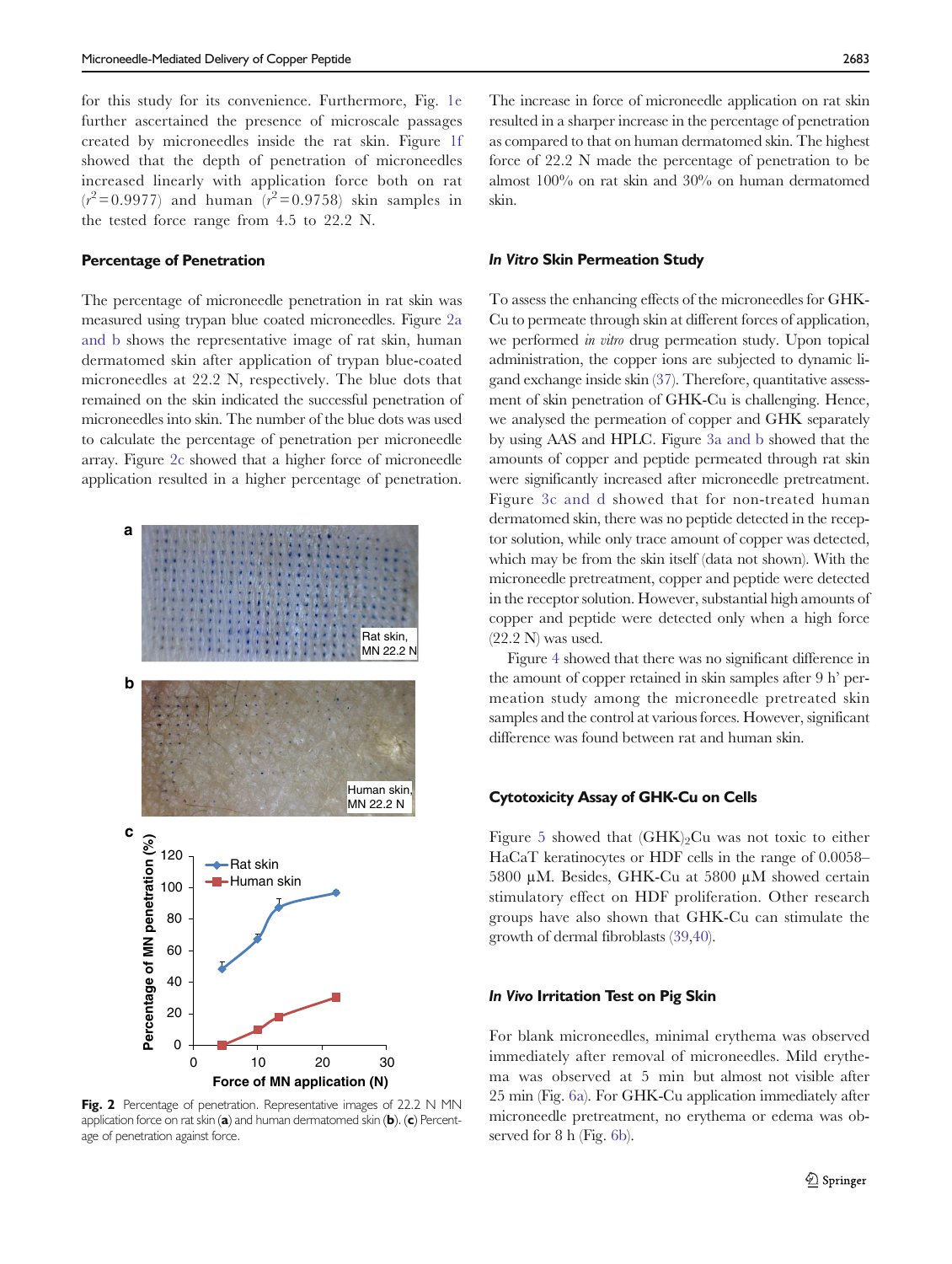for this study for its convenience. Furthermore, Fig. [1e](#page-2-0) further ascertained the presence of microscale passages created by microneedles inside the rat skin. Figure [1f](#page-2-0) showed that the depth of penetration of microneedles increased linearly with application force both on rat  $(r^2 = 0.9977)$  and human  $(r^2 = 0.9758)$  skin samples in the tested force range from 4.5 to 22.2 N.

## Percentage of Penetration

The percentage of microneedle penetration in rat skin was measured using trypan blue coated microneedles. Figure 2a and b shows the representative image of rat skin, human dermatomed skin after application of trypan blue-coated microneedles at 22.2 N, respectively. The blue dots that remained on the skin indicated the successful penetration of microneedles into skin. The number of the blue dots was used to calculate the percentage of penetration per microneedle array. Figure 2c showed that a higher force of microneedle application resulted in a higher percentage of penetration.



Fig. 2 Percentage of penetration. Representative images of 22.2 N MN application force on rat skin  $(a)$  and human dermatomed skin  $(b)$ .  $(c)$  Percentage of penetration against force.

The increase in force of microneedle application on rat skin resulted in a sharper increase in the percentage of penetration as compared to that on human dermatomed skin. The highest force of 22.2 N made the percentage of penetration to be almost 100% on rat skin and 30% on human dermatomed skin.

## In Vitro Skin Permeation Study

To assess the enhancing effects of the microneedles for GHK-Cu to permeate through skin at different forces of application, we performed *in vitro* drug permeation study. Upon topical administration, the copper ions are subjected to dynamic ligand exchange inside skin ([37](#page-10-0)). Therefore, quantitative assessment of skin penetration of GHK-Cu is challenging. Hence, we analysed the permeation of copper and GHK separately by using AAS and HPLC. Figure [3a and b](#page-6-0) showed that the amounts of copper and peptide permeated through rat skin were significantly increased after microneedle pretreatment. Figure [3c and d](#page-6-0) showed that for non-treated human dermatomed skin, there was no peptide detected in the receptor solution, while only trace amount of copper was detected, which may be from the skin itself (data not shown). With the microneedle pretreatment, copper and peptide were detected in the receptor solution. However, substantial high amounts of copper and peptide were detected only when a high force  $(22.2 \text{ N})$  was used.

Figure [4](#page-6-0) showed that there was no significant difference in the amount of copper retained in skin samples after 9 h' permeation study among the microneedle pretreated skin samples and the control at various forces. However, significant difference was found between rat and human skin.

## Cytotoxicity Assay of GHK-Cu on Cells

Figure [5](#page-7-0) showed that  $(GHK)_2Cu$  was not toxic to either HaCaT keratinocytes or HDF cells in the range of 0.0058– 5800 μM. Besides, GHK-Cu at 5800 μM showed certain stimulatory effect on HDF proliferation. Other research groups have also shown that GHK-Cu can stimulate the growth of dermal fibroblasts [\(39,40](#page-10-0)).

#### In Vivo Irritation Test on Pig Skin

For blank microneedles, minimal erythema was observed immediately after removal of microneedles. Mild erythema was observed at 5 min but almost not visible after 25 min (Fig. [6a](#page-7-0)). For GHK-Cu application immediately after microneedle pretreatment, no erythema or edema was observed for 8 h (Fig. [6b](#page-7-0)).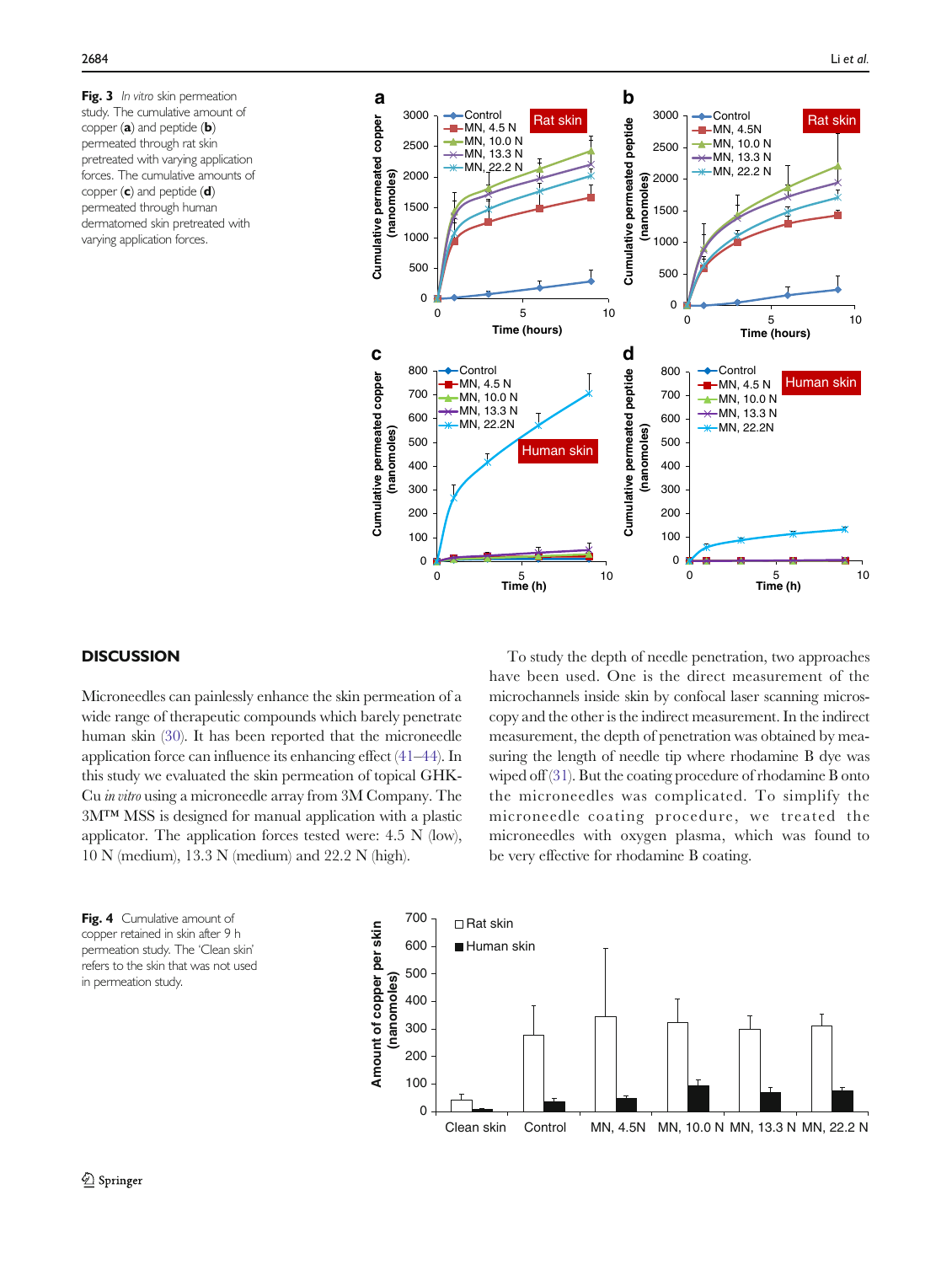<span id="page-6-0"></span>Fig. 3 In vitro skin permeation study. The cumulative amount of copper (a) and peptide (b) permeated through rat skin pretreated with varying application forces. The cumulative amounts of copper  $(c)$  and peptide  $(d)$ permeated through human dermatomed skin pretreated with varying application forces.



## **DISCUSSION**

Microneedles can painlessly enhance the skin permeation of a wide range of therapeutic compounds which barely penetrate human skin [\(30\)](#page-10-0). It has been reported that the microneedle application force can influence its enhancing effect [\(41](#page-10-0)–[44\)](#page-10-0). In this study we evaluated the skin permeation of topical GHK-Cu in vitro using a microneedle array from 3M Company. The 3M™ MSS is designed for manual application with a plastic applicator. The application forces tested were: 4.5 N (low), 10 N (medium), 13.3 N (medium) and 22.2 N (high).

To study the depth of needle penetration, two approaches have been used. One is the direct measurement of the microchannels inside skin by confocal laser scanning microscopy and the other is the indirect measurement. In the indirect measurement, the depth of penetration was obtained by measuring the length of needle tip where rhodamine B dye was wiped off ([31\)](#page-10-0). But the coating procedure of rhodamine B onto the microneedles was complicated. To simplify the microneedle coating procedure, we treated the microneedles with oxygen plasma, which was found to be very effective for rhodamine B coating.

Fig. 4 Cumulative amount of copper retained in skin after 9 h permeation study. The 'Clean skin' refers to the skin that was not used in permeation study.

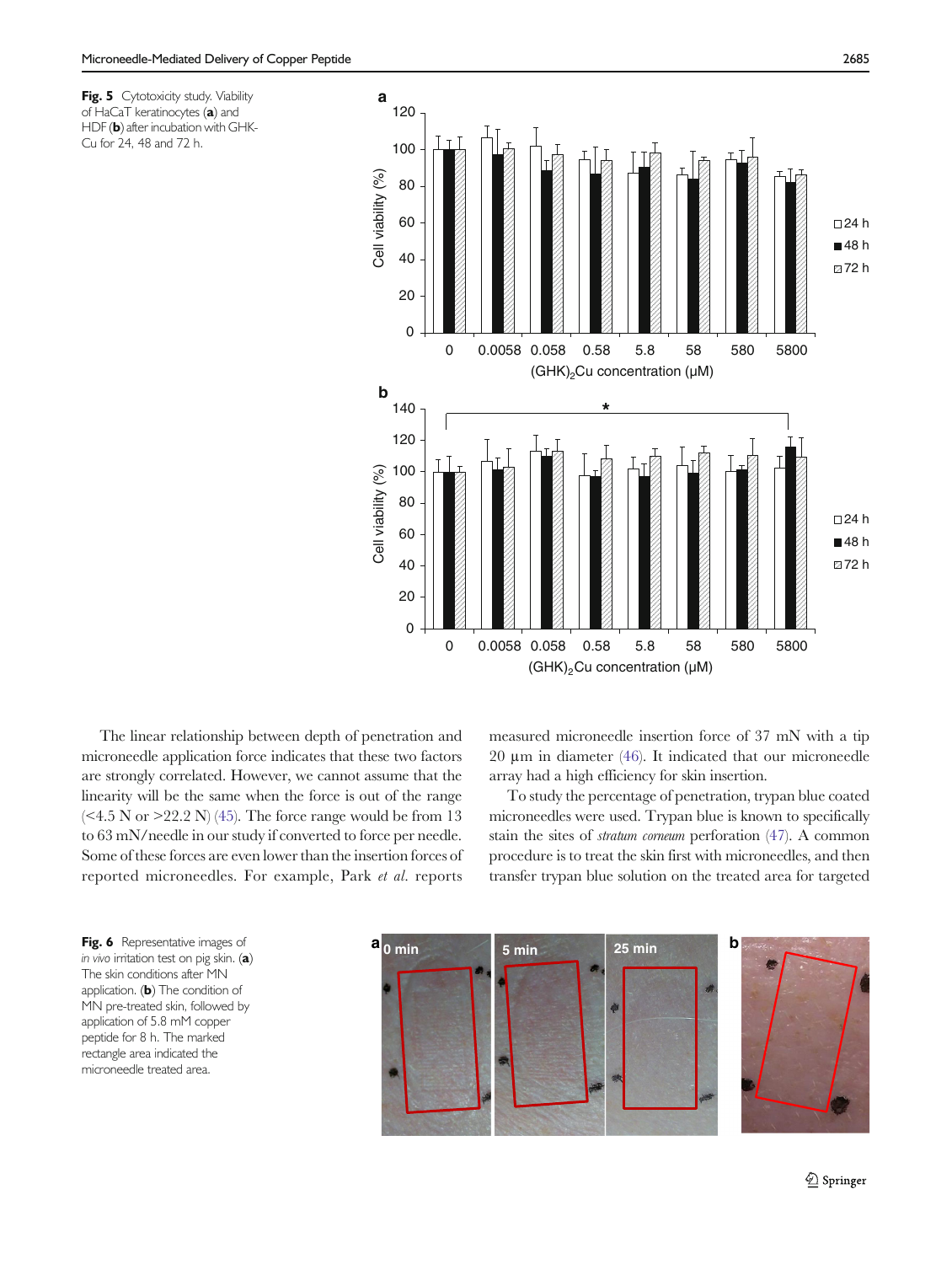<span id="page-7-0"></span>Fig. 5 Cytotoxicity study. Viability of HaCaT keratinocytes (a) and HDF (b) after incubation with GHK-Cu for 24, 48 and 72 h.



The linear relationship between depth of penetration and microneedle application force indicates that these two factors are strongly correlated. However, we cannot assume that the linearity will be the same when the force is out of the range  $( $4.5$  N or  $>22.2$  N) (45). The force range would be from 13$  $( $4.5$  N or  $>22.2$  N) (45). The force range would be from 13$  $( $4.5$  N or  $>22.2$  N) (45). The force range would be from 13$ to 63 mN/needle in our study if converted to force per needle. Some of these forces are even lower than the insertion forces of reported microneedles. For example, Park et al. reports measured microneedle insertion force of 37 mN with a tip 20 μm in diameter ([46\)](#page-10-0). It indicated that our microneedle array had a high efficiency for skin insertion.

To study the percentage of penetration, trypan blue coated microneedles were used. Trypan blue is known to specifically stain the sites of stratum corneum perforation [\(47](#page-10-0)). A common procedure is to treat the skin first with microneedles, and then transfer trypan blue solution on the treated area for targeted



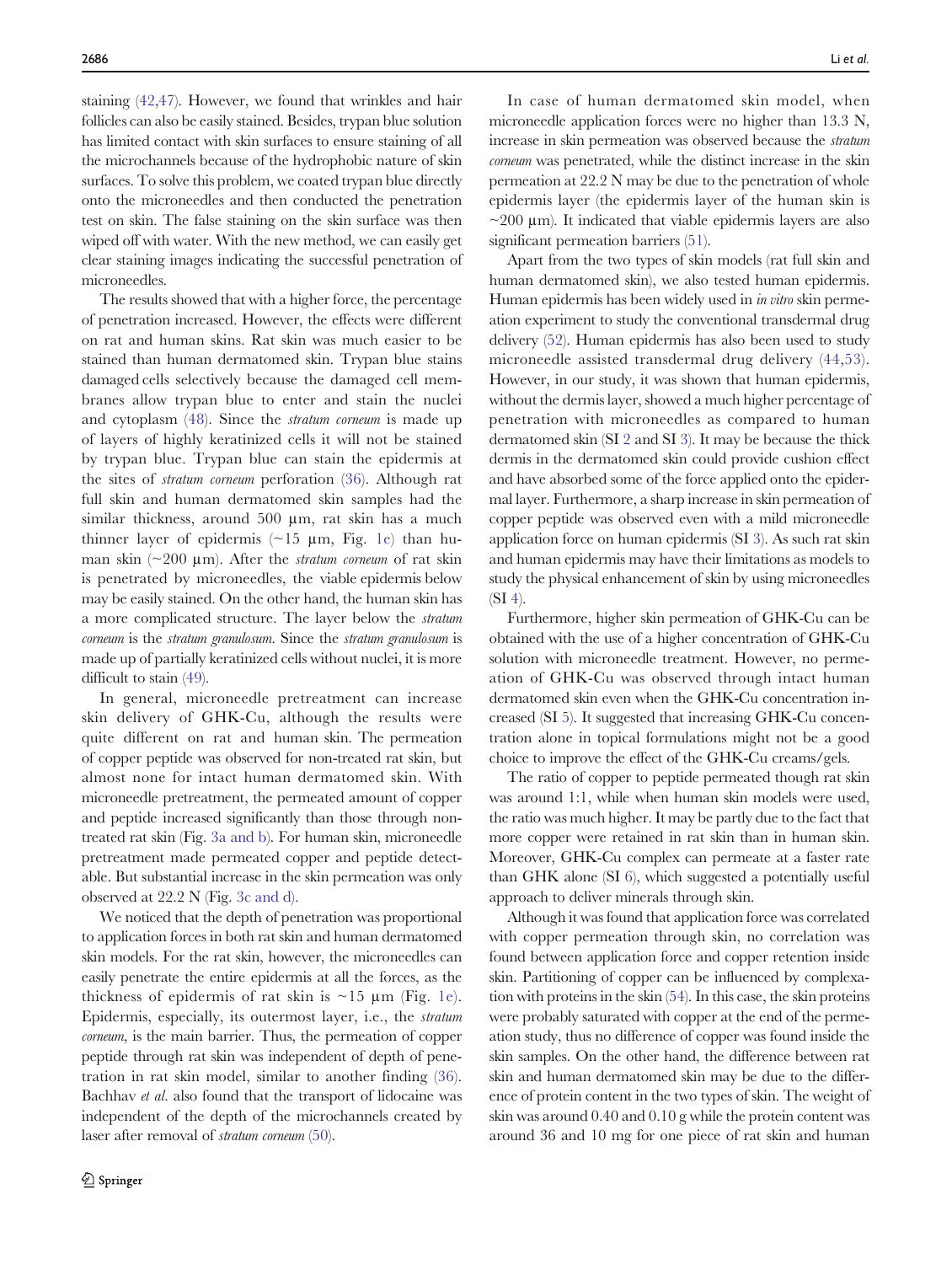staining [\(42,47](#page-10-0)). However, we found that wrinkles and hair follicles can also be easily stained. Besides, trypan blue solution has limited contact with skin surfaces to ensure staining of all the microchannels because of the hydrophobic nature of skin surfaces. To solve this problem, we coated trypan blue directly onto the microneedles and then conducted the penetration test on skin. The false staining on the skin surface was then wiped off with water. With the new method, we can easily get clear staining images indicating the successful penetration of microneedles.

The results showed that with a higher force, the percentage of penetration increased. However, the effects were different on rat and human skins. Rat skin was much easier to be stained than human dermatomed skin. Trypan blue stains damaged cells selectively because the damaged cell membranes allow trypan blue to enter and stain the nuclei and cytoplasm ([48\)](#page-10-0). Since the stratum corneum is made up of layers of highly keratinized cells it will not be stained by trypan blue. Trypan blue can stain the epidermis at the sites of stratum corneum perforation ([36](#page-10-0)). Although rat full skin and human dermatomed skin samples had the similar thickness, around 500 μm, rat skin has a much thinner layer of epidermis  $(\sim 15 \mu m,$  Fig. [1e\)](#page-2-0) than human skin  $(\sim 200 \mu m)$ . After the *stratum corneum* of rat skin is penetrated by microneedles, the viable epidermis below may be easily stained. On the other hand, the human skin has a more complicated structure. The layer below the stratum corneum is the stratum granulosum. Since the stratum granulosum is made up of partially keratinized cells without nuclei, it is more difficult to stain [\(49](#page-10-0)).

In general, microneedle pretreatment can increase skin delivery of GHK-Cu, although the results were quite different on rat and human skin. The permeation of copper peptide was observed for non-treated rat skin, but almost none for intact human dermatomed skin. With microneedle pretreatment, the permeated amount of copper and peptide increased significantly than those through nontreated rat skin (Fig. [3a and b\)](#page-6-0). For human skin, microneedle pretreatment made permeated copper and peptide detectable. But substantial increase in the skin permeation was only observed at 22.2 N (Fig. [3c and d](#page-6-0)).

We noticed that the depth of penetration was proportional to application forces in both rat skin and human dermatomed skin models. For the rat skin, however, the microneedles can easily penetrate the entire epidermis at all the forces, as the thickness of epidermis of rat skin is  $\sim$ 15  $\mu$ m (Fig. [1e\)](#page-2-0). Epidermis, especially, its outermost layer, i.e., the stratum corneum, is the main barrier. Thus, the permeation of copper peptide through rat skin was independent of depth of penetration in rat skin model, similar to another finding ([36](#page-10-0)). Bachhav et al. also found that the transport of lidocaine was independent of the depth of the microchannels created by laser after removal of stratum corneum [\(50](#page-10-0)).

In case of human dermatomed skin model, when microneedle application forces were no higher than 13.3 N, increase in skin permeation was observed because the stratum corneum was penetrated, while the distinct increase in the skin permeation at 22.2 N may be due to the penetration of whole epidermis layer (the epidermis layer of the human skin is  $\sim$ 200 µm). It indicated that viable epidermis layers are also significant permeation barriers [\(51](#page-10-0)).

Apart from the two types of skin models (rat full skin and human dermatomed skin), we also tested human epidermis. Human epidermis has been widely used in *in vitro* skin permeation experiment to study the conventional transdermal drug delivery [\(52](#page-10-0)). Human epidermis has also been used to study microneedle assisted transdermal drug delivery [\(44,53](#page-10-0)). However, in our study, it was shown that human epidermis, without the dermis layer, showed a much higher percentage of penetration with microneedles as compared to human dermatomed skin (SI 2 and SI 3). It may be because the thick dermis in the dermatomed skin could provide cushion effect and have absorbed some of the force applied onto the epidermal layer. Furthermore, a sharp increase in skin permeation of copper peptide was observed even with a mild microneedle application force on human epidermis (SI 3). As such rat skin and human epidermis may have their limitations as models to study the physical enhancement of skin by using microneedles (SI 4).

Furthermore, higher skin permeation of GHK-Cu can be obtained with the use of a higher concentration of GHK-Cu solution with microneedle treatment. However, no permeation of GHK-Cu was observed through intact human dermatomed skin even when the GHK-Cu concentration increased (SI 5). It suggested that increasing GHK-Cu concentration alone in topical formulations might not be a good choice to improve the effect of the GHK-Cu creams/gels.

The ratio of copper to peptide permeated though rat skin was around 1:1, while when human skin models were used, the ratio was much higher. It may be partly due to the fact that more copper were retained in rat skin than in human skin. Moreover, GHK-Cu complex can permeate at a faster rate than GHK alone (SI 6), which suggested a potentially useful approach to deliver minerals through skin.

Although it was found that application force was correlated with copper permeation through skin, no correlation was found between application force and copper retention inside skin. Partitioning of copper can be influenced by complexation with proteins in the skin ([54](#page-10-0)). In this case, the skin proteins were probably saturated with copper at the end of the permeation study, thus no difference of copper was found inside the skin samples. On the other hand, the difference between rat skin and human dermatomed skin may be due to the difference of protein content in the two types of skin. The weight of skin was around 0.40 and 0.10 g while the protein content was around 36 and 10 mg for one piece of rat skin and human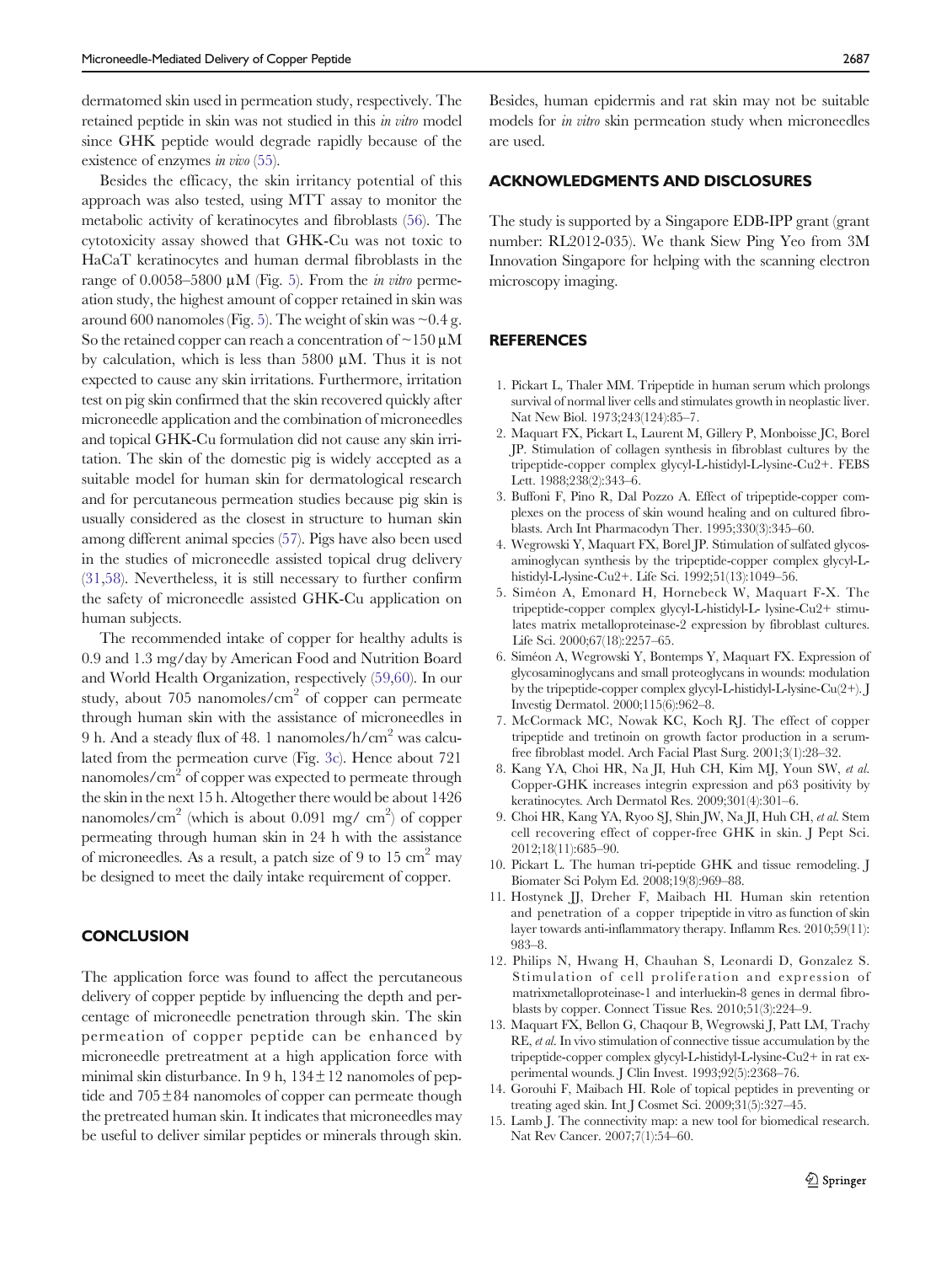<span id="page-9-0"></span>dermatomed skin used in permeation study, respectively. The retained peptide in skin was not studied in this in vitro model since GHK peptide would degrade rapidly because of the existence of enzymes in vivo [\(55\)](#page-10-0).

Besides the efficacy, the skin irritancy potential of this approach was also tested, using MTT assay to monitor the metabolic activity of keratinocytes and fibroblasts ([56](#page-10-0)). The cytotoxicity assay showed that GHK-Cu was not toxic to HaCaT keratinocytes and human dermal fibroblasts in the range of 0.00[5](#page-7-0)8–5800  $\mu$ M (Fig. 5). From the *in vitro* permeation study, the highest amount of copper retained in skin was around 600 nanomoles (Fig. [5\)](#page-7-0). The weight of skin was  $\sim 0.4$  g. So the retained copper can reach a concentration of  $\sim$  150  $\mu$ M by calculation, which is less than 5800 μM. Thus it is not expected to cause any skin irritations. Furthermore, irritation test on pig skin confirmed that the skin recovered quickly after microneedle application and the combination of microneedles and topical GHK-Cu formulation did not cause any skin irritation. The skin of the domestic pig is widely accepted as a suitable model for human skin for dermatological research and for percutaneous permeation studies because pig skin is usually considered as the closest in structure to human skin among different animal species [\(57](#page-11-0)). Pigs have also been used in the studies of microneedle assisted topical drug delivery [\(31](#page-10-0),[58\)](#page-11-0). Nevertheless, it is still necessary to further confirm the safety of microneedle assisted GHK-Cu application on human subjects.

The recommended intake of copper for healthy adults is 0.9 and 1.3 mg/day by American Food and Nutrition Board and World Health Organization, respectively [\(59](#page-11-0),[60](#page-11-0)). In our study, about 705 nanomoles/ $\text{cm}^2$  of copper can permeate through human skin with the assistance of microneedles in 9 h. And a steady flux of 48. 1 nanomoles/h/cm2 was calculated from the permeation curve (Fig. [3c](#page-6-0)). Hence about 721 nanomoles/ $\text{cm}^2$  of copper was expected to permeate through the skin in the next 15 h. Altogether there would be about 1426 nanomoles/cm<sup>2</sup> (which is about 0.091 mg/ cm<sup>2</sup>) of copper permeating through human skin in 24 h with the assistance of microneedles. As a result, a patch size of 9 to 15  $\text{cm}^2$  may be designed to meet the daily intake requirement of copper.

## **CONCLUSION**

The application force was found to affect the percutaneous delivery of copper peptide by influencing the depth and percentage of microneedle penetration through skin. The skin permeation of copper peptide can be enhanced by microneedle pretreatment at a high application force with minimal skin disturbance. In 9 h,  $134 \pm 12$  nanomoles of peptide and 705±84 nanomoles of copper can permeate though the pretreated human skin. It indicates that microneedles may be useful to deliver similar peptides or minerals through skin.

Besides, human epidermis and rat skin may not be suitable models for in vitro skin permeation study when microneedles are used.

#### ACKNOWLEDGMENTS AND DISCLOSURES

The study is supported by a Singapore EDB-IPP grant (grant number: RL2012-035). We thank Siew Ping Yeo from 3M Innovation Singapore for helping with the scanning electron microscopy imaging.

# **REFERENCES**

- 1. Pickart L, Thaler MM. Tripeptide in human serum which prolongs survival of normal liver cells and stimulates growth in neoplastic liver. Nat New Biol. 1973;243(124):85–7.
- 2. Maquart FX, Pickart L, Laurent M, Gillery P, Monboisse JC, Borel JP. Stimulation of collagen synthesis in fibroblast cultures by the tripeptide-copper complex glycyl-L-histidyl-L-lysine-Cu2+. FEBS Lett. 1988;238(2):343–6.
- 3. Buffoni F, Pino R, Dal Pozzo A. Effect of tripeptide-copper complexes on the process of skin wound healing and on cultured fibroblasts. Arch Int Pharmacodyn Ther. 1995;330(3):345–60.
- 4. Wegrowski Y, Maquart FX, Borel JP. Stimulation of sulfated glycosaminoglycan synthesis by the tripeptide-copper complex glycyl-Lhistidyl-L-lysine-Cu2+. Life Sci. 1992;51(13):1049–56.
- 5. Siméon A, Emonard H, Hornebeck W, Maquart F-X. The tripeptide-copper complex glycyl-L-histidyl-L- lysine-Cu2+ stimulates matrix metalloproteinase-2 expression by fibroblast cultures. Life Sci. 2000;67(18):2257–65.
- 6. Siméon A, Wegrowski Y, Bontemps Y, Maquart FX. Expression of glycosaminoglycans and small proteoglycans in wounds: modulation by the tripeptide-copper complex glycyl-L-histidyl-L-lysine-Cu(2+). J Investig Dermatol. 2000;115(6):962–8.
- 7. McCormack MC, Nowak KC, Koch RJ. The effect of copper tripeptide and tretinoin on growth factor production in a serumfree fibroblast model. Arch Facial Plast Surg. 2001;3(1):28–32.
- 8. Kang YA, Choi HR, Na JI, Huh CH, Kim MJ, Youn SW, et al. Copper-GHK increases integrin expression and p63 positivity by keratinocytes. Arch Dermatol Res. 2009;301(4):301–6.
- 9. Choi HR, Kang YA, Ryoo SJ, Shin JW, Na JI, Huh CH, et al. Stem cell recovering effect of copper-free GHK in skin. J Pept Sci. 2012;18(11):685–90.
- 10. Pickart L. The human tri-peptide GHK and tissue remodeling. J Biomater Sci Polym Ed. 2008;19(8):969–88.
- 11. Hostynek JJ, Dreher F, Maibach HI. Human skin retention and penetration of a copper tripeptide in vitro as function of skin layer towards anti-inflammatory therapy. Inflamm Res. 2010;59(11): 983–8.
- 12. Philips N, Hwang H, Chauhan S, Leonardi D, Gonzalez S. Stimulation of cell proliferation and expression of matrixmetalloproteinase-1 and interluekin-8 genes in dermal fibroblasts by copper. Connect Tissue Res. 2010;51(3):224–9.
- 13. Maquart FX, Bellon G, Chaqour B, Wegrowski J, Patt LM, Trachy RE, et al. In vivo stimulation of connective tissue accumulation by the tripeptide-copper complex glycyl-L-histidyl-L-lysine-Cu2+ in rat experimental wounds. J Clin Invest. 1993;92(5):2368–76.
- 14. Gorouhi F, Maibach HI. Role of topical peptides in preventing or treating aged skin. Int J Cosmet Sci. 2009;31(5):327–45.
- 15. Lamb J. The connectivity map: a new tool for biomedical research. Nat Rev Cancer. 2007;7(1):54–60.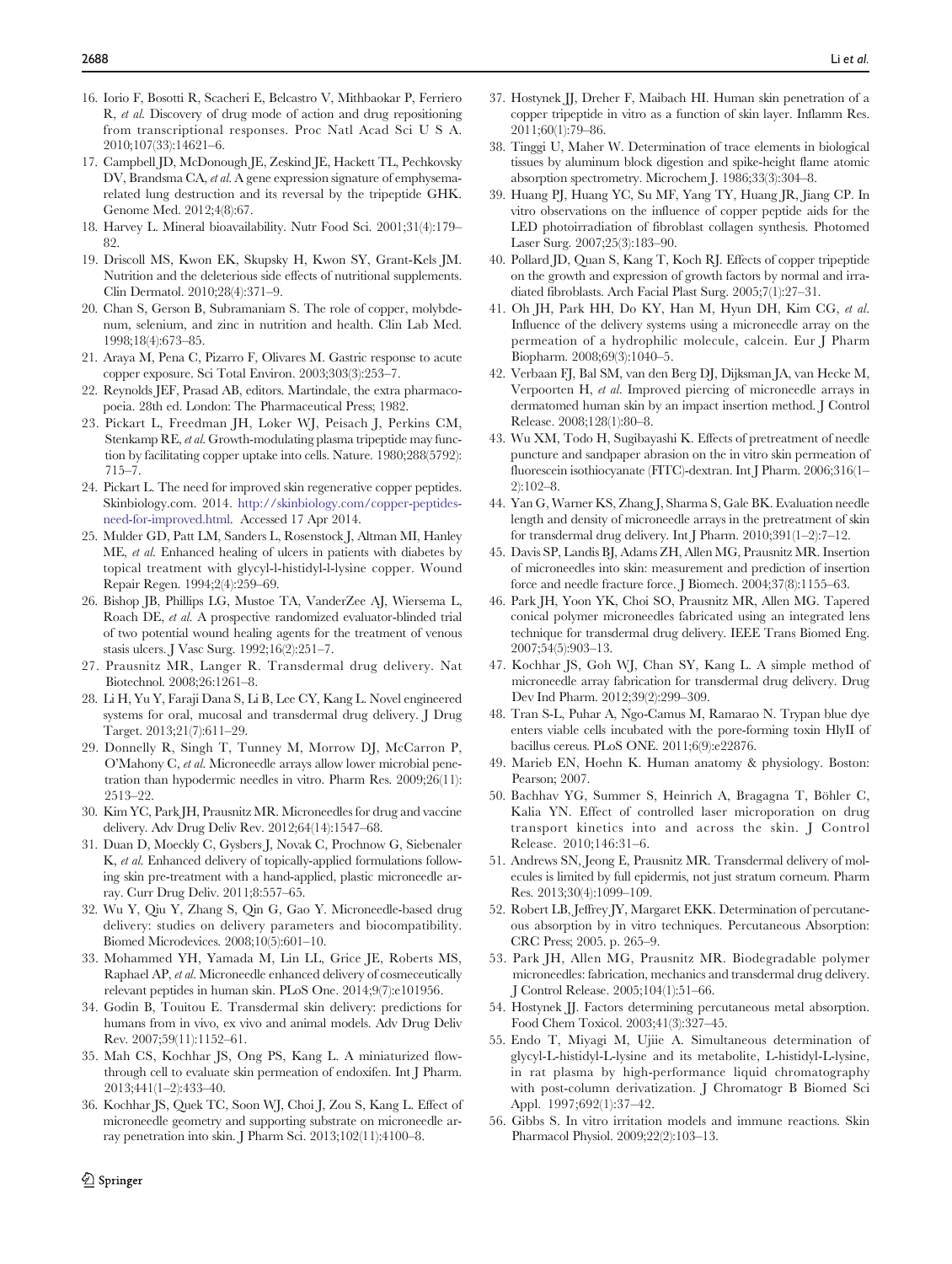- <span id="page-10-0"></span>16. Iorio F, Bosotti R, Scacheri E, Belcastro V, Mithbaokar P, Ferriero R, et al. Discovery of drug mode of action and drug repositioning from transcriptional responses. Proc Natl Acad Sci U S A. 2010;107(33):14621–6.
- 17. Campbell JD, McDonough JE, Zeskind JE, Hackett TL, Pechkovsky DV, Brandsma CA, et al. A gene expression signature of emphysemarelated lung destruction and its reversal by the tripeptide GHK. Genome Med. 2012;4(8):67.
- 18. Harvey L. Mineral bioavailability. Nutr Food Sci. 2001;31(4):179– 82
- 19. Driscoll MS, Kwon EK, Skupsky H, Kwon SY, Grant-Kels JM. Nutrition and the deleterious side effects of nutritional supplements. Clin Dermatol. 2010;28(4):371–9.
- 20. Chan S, Gerson B, Subramaniam S. The role of copper, molybdenum, selenium, and zinc in nutrition and health. Clin Lab Med. 1998;18(4):673–85.
- 21. Araya M, Pena C, Pizarro F, Olivares M. Gastric response to acute copper exposure. Sci Total Environ. 2003;303(3):253–7.
- 22. Reynolds JEF, Prasad AB, editors. Martindale, the extra pharmacopoeia. 28th ed. London: The Pharmaceutical Press; 1982.
- 23. Pickart L, Freedman JH, Loker WJ, Peisach J, Perkins CM, Stenkamp RE, et al. Growth-modulating plasma tripeptide may function by facilitating copper uptake into cells. Nature. 1980;288(5792): 715–7.
- 24. Pickart L. The need for improved skin regenerative copper peptides. Skinbiology.com. 2014. [http://skinbiology.com/copper-peptides](http://skinbiology.com/copper-peptides-need-for-improved.html)[need-for-improved.html.](http://skinbiology.com/copper-peptides-need-for-improved.html) Accessed 17 Apr 2014.
- 25. Mulder GD, Patt LM, Sanders L, Rosenstock J, Altman MI, Hanley ME, et al. Enhanced healing of ulcers in patients with diabetes by topical treatment with glycyl-l-histidyl-l-lysine copper. Wound Repair Regen. 1994;2(4):259–69.
- 26. Bishop JB, Phillips LG, Mustoe TA, VanderZee AJ, Wiersema L, Roach DE, et al. A prospective randomized evaluator-blinded trial of two potential wound healing agents for the treatment of venous stasis ulcers. J Vasc Surg. 1992;16(2):251–7.
- 27. Prausnitz MR, Langer R. Transdermal drug delivery. Nat Biotechnol. 2008;26:1261–8.
- 28. Li H, Yu Y, Faraji Dana S, Li B, Lee CY, Kang L. Novel engineered systems for oral, mucosal and transdermal drug delivery. J Drug Target. 2013;21(7):611–29.
- 29. Donnelly R, Singh T, Tunney M, Morrow DJ, McCarron P, <sup>O</sup>'Mahony C, et al. Microneedle arrays allow lower microbial penetration than hypodermic needles in vitro. Pharm Res. 2009;26(11): 2513–22.
- 30. Kim YC, Park JH, Prausnitz MR. Microneedles for drug and vaccine delivery. Adv Drug Deliv Rev. 2012;64(14):1547–68.
- 31. Duan D, Moeckly C, Gysbers J, Novak C, Prochnow G, Siebenaler K, et al. Enhanced delivery of topically-applied formulations following skin pre-treatment with a hand-applied, plastic microneedle array. Curr Drug Deliv. 2011;8:557–65.
- 32. Wu Y, Qiu Y, Zhang S, Qin G, Gao Y. Microneedle-based drug delivery: studies on delivery parameters and biocompatibility. Biomed Microdevices. 2008;10(5):601–10.
- 33. Mohammed YH, Yamada M, Lin LL, Grice JE, Roberts MS, Raphael AP, et al. Microneedle enhanced delivery of cosmeceutically relevant peptides in human skin. PLoS One. 2014;9(7):e101956.
- 34. Godin B, Touitou E. Transdermal skin delivery: predictions for humans from in vivo, ex vivo and animal models. Adv Drug Deliv Rev. 2007;59(11):1152–61.
- 35. Mah CS, Kochhar JS, Ong PS, Kang L. A miniaturized flowthrough cell to evaluate skin permeation of endoxifen. Int J Pharm. 2013;441(1–2):433–40.
- 36. Kochhar JS, Quek TC, Soon WJ, Choi J, Zou S, Kang L. Effect of microneedle geometry and supporting substrate on microneedle array penetration into skin. J Pharm Sci. 2013;102(11):4100–8.
- 37. Hostynek JJ, Dreher F, Maibach HI. Human skin penetration of a copper tripeptide in vitro as a function of skin layer. Inflamm Res. 2011;60(1):79–86.
- 38. Tinggi U, Maher W. Determination of trace elements in biological tissues by aluminum block digestion and spike-height flame atomic absorption spectrometry. Microchem J. 1986;33(3):304–8.
- 39. Huang PJ, Huang YC, Su MF, Yang TY, Huang JR, Jiang CP. In vitro observations on the influence of copper peptide aids for the LED photoirradiation of fibroblast collagen synthesis. Photomed Laser Surg. 2007;25(3):183–90.
- 40. Pollard JD, Quan S, Kang T, Koch RJ. Effects of copper tripeptide on the growth and expression of growth factors by normal and irradiated fibroblasts. Arch Facial Plast Surg. 2005;7(1):27–31.
- 41. Oh JH, Park HH, Do KY, Han M, Hyun DH, Kim CG, et al. Influence of the delivery systems using a microneedle array on the permeation of a hydrophilic molecule, calcein. Eur J Pharm Biopharm. 2008;69(3):1040–5.
- 42. Verbaan FJ, Bal SM, van den Berg DJ, Dijksman JA, van Hecke M, Verpoorten H, et al. Improved piercing of microneedle arrays in dermatomed human skin by an impact insertion method. J Control Release. 2008;128(1):80–8.
- 43. Wu XM, Todo H, Sugibayashi K. Effects of pretreatment of needle puncture and sandpaper abrasion on the in vitro skin permeation of fluorescein isothiocyanate (FITC)-dextran. Int J Pharm. 2006;316(1– 2):102–8.
- 44. Yan G, Warner KS, Zhang J, Sharma S, Gale BK. Evaluation needle length and density of microneedle arrays in the pretreatment of skin for transdermal drug delivery. Int J Pharm. 2010;391(1–2):7–12.
- 45. Davis SP, Landis BJ, Adams ZH, Allen MG, Prausnitz MR. Insertion of microneedles into skin: measurement and prediction of insertion force and needle fracture force. J Biomech. 2004;37(8):1155–63.
- 46. Park JH, Yoon YK, Choi SO, Prausnitz MR, Allen MG. Tapered conical polymer microneedles fabricated using an integrated lens technique for transdermal drug delivery. IEEE Trans Biomed Eng. 2007;54(5):903–13.
- 47. Kochhar JS, Goh WJ, Chan SY, Kang L. A simple method of microneedle array fabrication for transdermal drug delivery. Drug Dev Ind Pharm. 2012;39(2):299–309.
- 48. Tran S-L, Puhar A, Ngo-Camus M, Ramarao N. Trypan blue dye enters viable cells incubated with the pore-forming toxin HlyII of bacillus cereus. PLoS ONE. 2011;6(9):e22876.
- 49. Marieb EN, Hoehn K. Human anatomy & physiology. Boston: Pearson; 2007.
- 50. Bachhav YG, Summer S, Heinrich A, Bragagna T, Böhler C, Kalia YN. Effect of controlled laser microporation on drug transport kinetics into and across the skin. J Control Release. 2010;146:31–6.
- 51. Andrews SN, Jeong E, Prausnitz MR. Transdermal delivery of molecules is limited by full epidermis, not just stratum corneum. Pharm Res. 2013;30(4):1099–109.
- 52. Robert LB, Jeffrey JY, Margaret EKK. Determination of percutaneous absorption by in vitro techniques. Percutaneous Absorption: CRC Press; 2005. p. 265–9.
- 53. Park JH, Allen MG, Prausnitz MR. Biodegradable polymer microneedles: fabrication, mechanics and transdermal drug delivery. J Control Release. 2005;104(1):51–66.
- 54. Hostynek JJ. Factors determining percutaneous metal absorption. Food Chem Toxicol. 2003;41(3):327–45.
- 55. Endo T, Miyagi M, Ujiie A. Simultaneous determination of glycyl-L-histidyl-L-lysine and its metabolite, L-histidyl-L-lysine, in rat plasma by high-performance liquid chromatography with post-column derivatization. J Chromatogr B Biomed Sci Appl. 1997;692(1):37–42.
- 56. Gibbs S. In vitro irritation models and immune reactions. Skin Pharmacol Physiol. 2009;22(2):103–13.